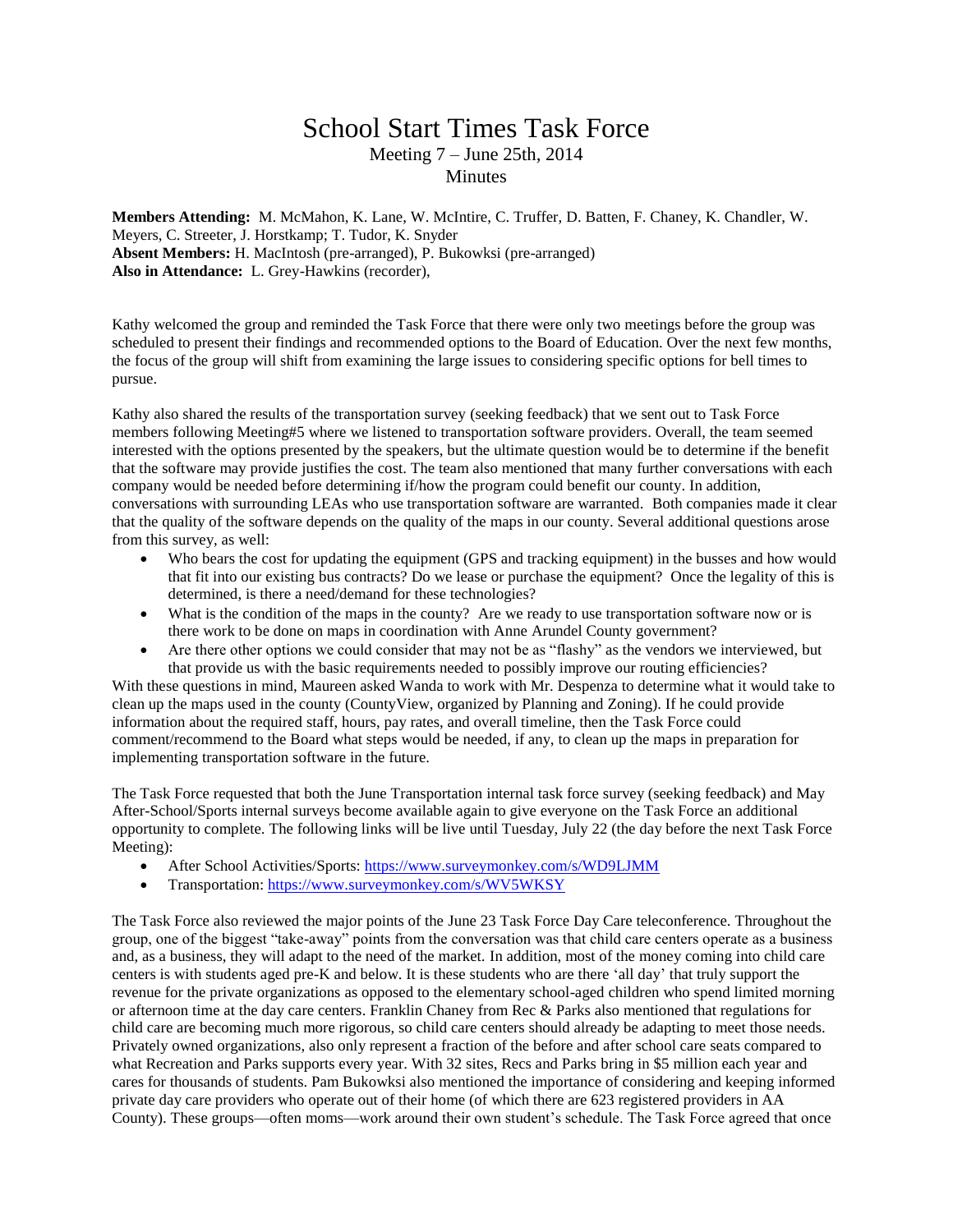## School Start Times Task Force Meeting 7 – June 25th, 2014

**Minutes** 

**Members Attending:** M. McMahon, K. Lane, W. McIntire, C. Truffer, D. Batten, F. Chaney, K. Chandler, W. Meyers, C. Streeter, J. Horstkamp; T. Tudor, K. Snyder **Absent Members:** H. MacIntosh (pre-arranged), P. Bukowksi (pre-arranged) **Also in Attendance:** L. Grey-Hawkins (recorder),

Kathy welcomed the group and reminded the Task Force that there were only two meetings before the group was scheduled to present their findings and recommended options to the Board of Education. Over the next few months, the focus of the group will shift from examining the large issues to considering specific options for bell times to pursue.

Kathy also shared the results of the transportation survey (seeking feedback) that we sent out to Task Force members following Meeting#5 where we listened to transportation software providers. Overall, the team seemed interested with the options presented by the speakers, but the ultimate question would be to determine if the benefit that the software may provide justifies the cost. The team also mentioned that many further conversations with each company would be needed before determining if/how the program could benefit our county. In addition, conversations with surrounding LEAs who use transportation software are warranted. Both companies made it clear that the quality of the software depends on the quality of the maps in our county. Several additional questions arose from this survey, as well:

- Who bears the cost for updating the equipment (GPS and tracking equipment) in the busses and how would that fit into our existing bus contracts? Do we lease or purchase the equipment? Once the legality of this is determined, is there a need/demand for these technologies?
- What is the condition of the maps in the county? Are we ready to use transportation software now or is there work to be done on maps in coordination with Anne Arundel County government?
- Are there other options we could consider that may not be as "flashy" as the vendors we interviewed, but that provide us with the basic requirements needed to possibly improve our routing efficiencies?

With these questions in mind, Maureen asked Wanda to work with Mr. Despenza to determine what it would take to clean up the maps used in the county (CountyView, organized by Planning and Zoning). If he could provide information about the required staff, hours, pay rates, and overall timeline, then the Task Force could comment/recommend to the Board what steps would be needed, if any, to clean up the maps in preparation for implementing transportation software in the future.

The Task Force requested that both the June Transportation internal task force survey (seeking feedback) and May After-School/Sports internal surveys become available again to give everyone on the Task Force an additional opportunity to complete. The following links will be live until Tuesday, July 22 (the day before the next Task Force Meeting):

- After School Activities/Sports:<https://www.surveymonkey.com/s/WD9LJMM>
- Transportation:<https://www.surveymonkey.com/s/WV5WKSY>

The Task Force also reviewed the major points of the June 23 Task Force Day Care teleconference. Throughout the group, one of the biggest "take-away" points from the conversation was that child care centers operate as a business and, as a business, they will adapt to the need of the market. In addition, most of the money coming into child care centers is with students aged pre-K and below. It is these students who are there 'all day' that truly support the revenue for the private organizations as opposed to the elementary school-aged children who spend limited morning or afternoon time at the day care centers. Franklin Chaney from Rec & Parks also mentioned that regulations for child care are becoming much more rigorous, so child care centers should already be adapting to meet those needs. Privately owned organizations, also only represent a fraction of the before and after school care seats compared to what Recreation and Parks supports every year. With 32 sites, Recs and Parks bring in \$5 million each year and cares for thousands of students. Pam Bukowksi also mentioned the importance of considering and keeping informed private day care providers who operate out of their home (of which there are 623 registered providers in AA County). These groups—often moms—work around their own student's schedule. The Task Force agreed that once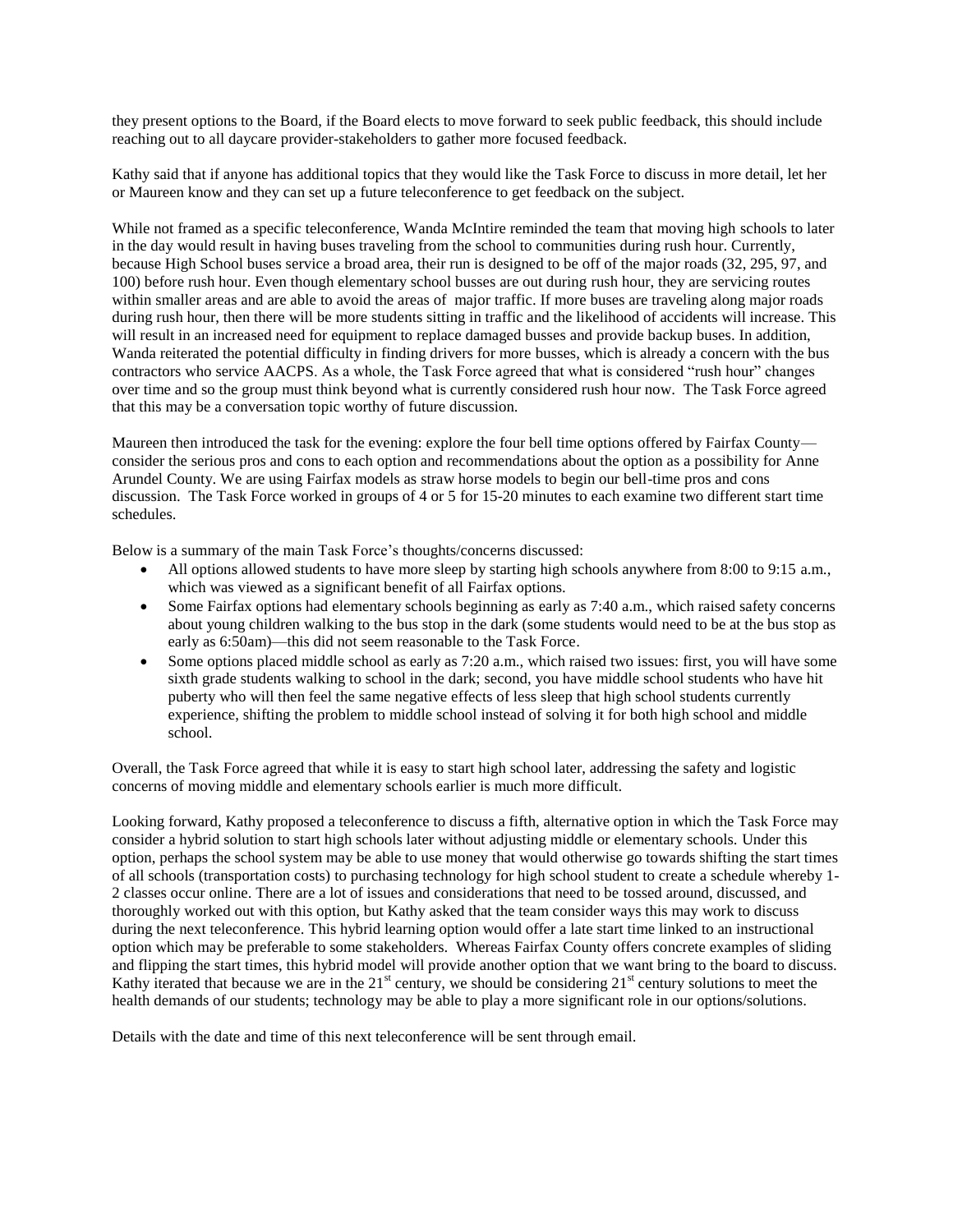they present options to the Board, if the Board elects to move forward to seek public feedback, this should include reaching out to all daycare provider-stakeholders to gather more focused feedback.

Kathy said that if anyone has additional topics that they would like the Task Force to discuss in more detail, let her or Maureen know and they can set up a future teleconference to get feedback on the subject.

While not framed as a specific teleconference, Wanda McIntire reminded the team that moving high schools to later in the day would result in having buses traveling from the school to communities during rush hour. Currently, because High School buses service a broad area, their run is designed to be off of the major roads (32, 295, 97, and 100) before rush hour. Even though elementary school busses are out during rush hour, they are servicing routes within smaller areas and are able to avoid the areas of major traffic. If more buses are traveling along major roads during rush hour, then there will be more students sitting in traffic and the likelihood of accidents will increase. This will result in an increased need for equipment to replace damaged busses and provide backup buses. In addition, Wanda reiterated the potential difficulty in finding drivers for more busses, which is already a concern with the bus contractors who service AACPS. As a whole, the Task Force agreed that what is considered "rush hour" changes over time and so the group must think beyond what is currently considered rush hour now. The Task Force agreed that this may be a conversation topic worthy of future discussion.

Maureen then introduced the task for the evening: explore the four bell time options offered by Fairfax County consider the serious pros and cons to each option and recommendations about the option as a possibility for Anne Arundel County. We are using Fairfax models as straw horse models to begin our bell-time pros and cons discussion. The Task Force worked in groups of 4 or 5 for 15-20 minutes to each examine two different start time schedules.

Below is a summary of the main Task Force's thoughts/concerns discussed:

- All options allowed students to have more sleep by starting high schools anywhere from 8:00 to 9:15 a.m., which was viewed as a significant benefit of all Fairfax options.
- Some Fairfax options had elementary schools beginning as early as 7:40 a.m., which raised safety concerns about young children walking to the bus stop in the dark (some students would need to be at the bus stop as early as 6:50am)—this did not seem reasonable to the Task Force.
- Some options placed middle school as early as 7:20 a.m., which raised two issues: first, you will have some sixth grade students walking to school in the dark; second, you have middle school students who have hit puberty who will then feel the same negative effects of less sleep that high school students currently experience, shifting the problem to middle school instead of solving it for both high school and middle school.

Overall, the Task Force agreed that while it is easy to start high school later, addressing the safety and logistic concerns of moving middle and elementary schools earlier is much more difficult.

Looking forward, Kathy proposed a teleconference to discuss a fifth, alternative option in which the Task Force may consider a hybrid solution to start high schools later without adjusting middle or elementary schools. Under this option, perhaps the school system may be able to use money that would otherwise go towards shifting the start times of all schools (transportation costs) to purchasing technology for high school student to create a schedule whereby 1- 2 classes occur online. There are a lot of issues and considerations that need to be tossed around, discussed, and thoroughly worked out with this option, but Kathy asked that the team consider ways this may work to discuss during the next teleconference. This hybrid learning option would offer a late start time linked to an instructional option which may be preferable to some stakeholders. Whereas Fairfax County offers concrete examples of sliding and flipping the start times, this hybrid model will provide another option that we want bring to the board to discuss. Kathy iterated that because we are in the  $21<sup>st</sup>$  century, we should be considering  $21<sup>st</sup>$  century solutions to meet the health demands of our students; technology may be able to play a more significant role in our options/solutions.

Details with the date and time of this next teleconference will be sent through email.